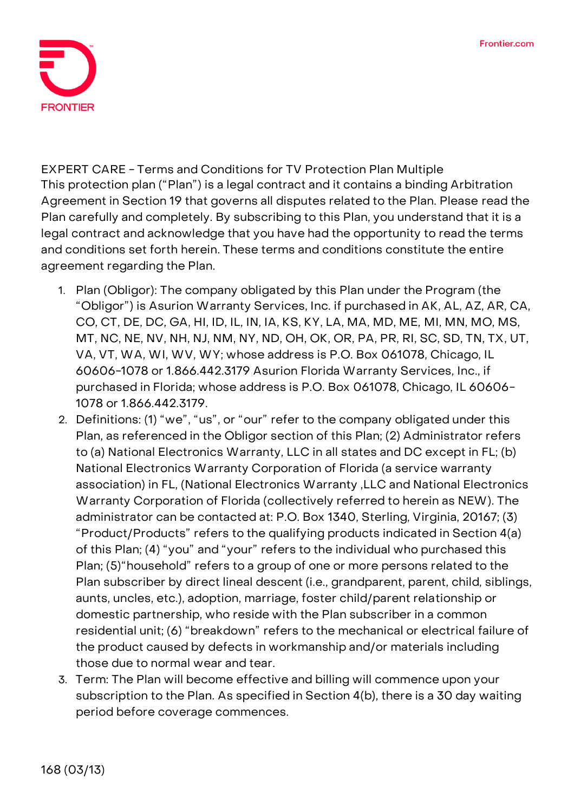

**EXPERT CARE - Terms and Conditions for TV Protection Plan Multiple** This protection plan ("Plan") is a legal contract and it contains a binding Arbitration Agreement in Section 19 that governs all disputes related to the Plan. Please read the Plan carefully and completely. By subscribing to this Plan, you understand that it is a legal contract and acknowledge that you have had the opportunity to read the terms and conditions set forth herein. These terms and conditions constitute the entire agreement regarding the Plan.

- 1. **Plan (Obligor):** The company obligated by this Plan under the Program (the "Obligor") is Asurion Warranty Services, Inc. if purchased in AK, AL, AZ, AR, CA, CO, CT, DE, DC, GA, HI, ID, IL, IN, IA, KS, KY, LA, MA, MD, ME, MI, MN, MO, MS, MT, NC, NE, NV, NH, NJ, NM, NY, ND, OH, OK, OR, PA, PR, RI, SC, SD, TN, TX, UT, VA, VT, WA, WI, WV, WY; whose address is P.O. Box 061078, Chicago, IL 60606-1078 or 1.866.442.3179 Asurion Florida Warranty Services, Inc., if purchased in Florida; whose address is P.O. Box 061078, Chicago, IL 60606- 1078 or 1.866.442.3179.
- 2. **Definitions:** (1) "we", "us", or "our" refer to the company obligated under this Plan, as referenced in the Obligor section of this Plan; (2) Administrator refers to (a) National Electronics Warranty, LLC in all states and DC except in FL; (b) National Electronics Warranty Corporation of Florida (a service warranty association) in FL, (National Electronics Warranty ,LLC and National Electronics Warranty Corporation of Florida (collectively referred to herein as NEW). The administrator can be contacted at: P.O. Box 1340, Sterling, Virginia, 20167; (3) "Product/Products" refers to the qualifying products indicated in Section 4(a) of this Plan; (4) "you" and "your" refers to the individual who purchased this Plan; (5)"household" refers to a group of one or more persons related to the Plan subscriber by direct lineal descent (i.e., grandparent, parent, child, siblings, aunts, uncles, etc.), adoption, marriage, foster child/parent relationship or domestic partnership, who reside with the Plan subscriber in a common residential unit; (6) "breakdown" refers to the mechanical or electrical failure of the product caused by defects in workmanship and/or materials including those due to normal wear and tear.
- 3. **Term:** The Plan will become effective and billing will commence upon your subscription to the Plan. **As specified in Section 4(b), there is a 30 day waiting period before coverage commences.**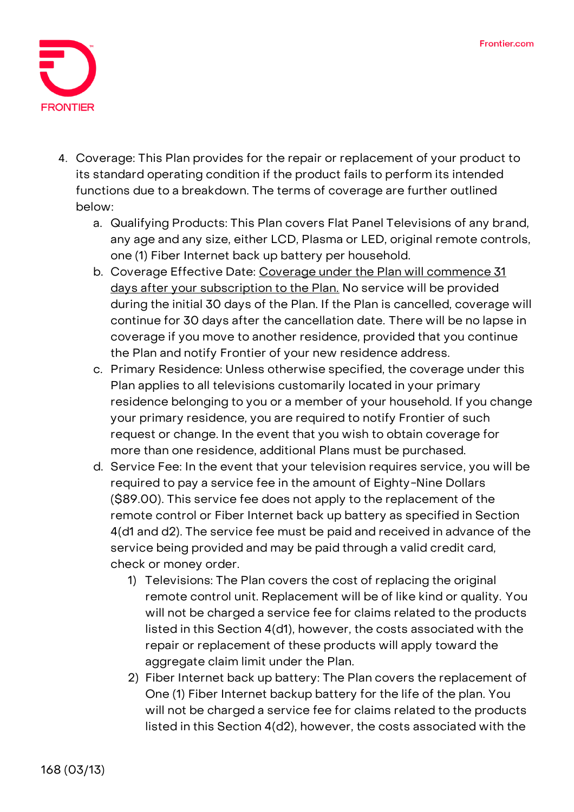

- 4. **Coverage:** This Plan provides for the repair or replacement of your product to its standard operating condition if the product fails to perform its intended functions due to a breakdown. The terms of coverage are further outlined below:
	- a. Qualifying Products: This Plan covers Flat Panel Televisions of any brand, any age and any size, either LCD, Plasma or LED, original remote controls, one (1) Fiber Internet back up battery per household.
	- b. Coverage Effective Date: **Coverage under the Plan will commence 31 days after your subscription to the Plan. No service will be provided during the initial 30 days of the Plan. If the Plan is cancelled, coverage will continue for 30 days after the cancellation date.** There will be no lapse in coverage if you move to another residence, provided that you continue the Plan and notify Frontier of your new residence address.
	- c. Primary Residence: Unless otherwise specified, the coverage under this Plan applies to all televisions customarily located in your primary residence belonging to you or a member of your household. If you change your primary residence, you are required to notify Frontier of such request or change. In the event that you wish to obtain coverage for more than one residence, additional Plans must be purchased.
	- d. Service Fee: **In the event that your television requires service, you will be required to pay a service fee in the amount of Eighty-Nine Dollars (\$89.00).** This service fee does not apply to the replacement of the remote control or Fiber Internet back up battery as specified in Section 4(d1 and d2). The service fee must be paid and received in advance of the service being provided and may be paid through a valid credit card, check or money order.
		- 1) Televisions: The Plan covers the cost of replacing the original remote control unit. Replacement will be of like kind or quality. You will not be charged a service fee for claims related to the products listed in this Section 4(d1), however, the costs associated with the repair or replacement of these products will apply toward the aggregate claim limit under the Plan.
		- 2) Fiber Internet back up battery: The Plan covers the replacement of One (1) Fiber Internet backup battery for the life of the plan. You will not be charged a service fee for claims related to the products listed in this Section 4(d2), however, the costs associated with the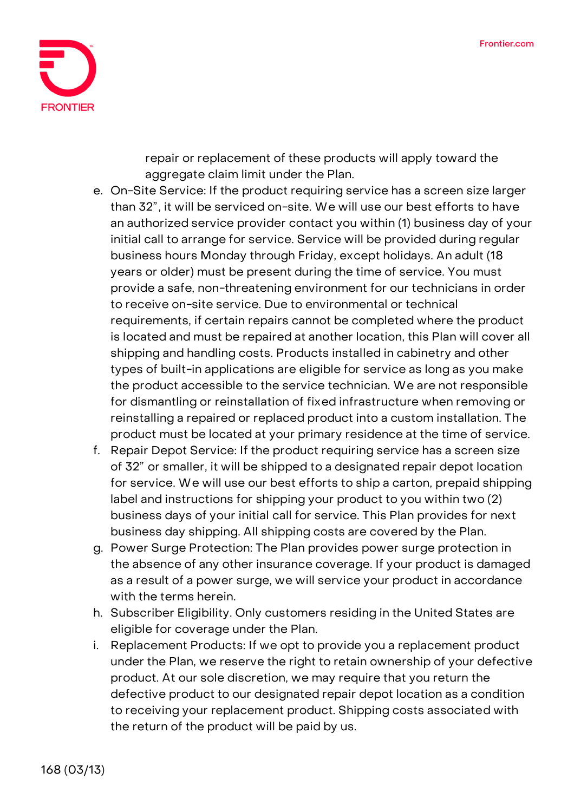

repair or replacement of these products will apply toward the aggregate claim limit under the Plan.

- e. On-Site Service: If the product requiring service has a screen size larger than 32", it will be serviced on-site. We will use our best efforts to have an authorized service provider contact you within (1) business day of your initial call to arrange for service. Service will be provided during regular business hours Monday through Friday, except holidays. An adult (18 years or older) must be present during the time of service. You must provide a safe, non-threatening environment for our technicians in order to receive on-site service. Due to environmental or technical requirements, if certain repairs cannot be completed where the product is located and must be repaired at another location, this Plan will cover all shipping and handling costs. Products installed in cabinetry and other types of built-in applications are eligible for service as long as you make the product accessible to the service technician. We are not responsible for dismantling or reinstallation of fixed infrastructure when removing or reinstalling a repaired or replaced product into a custom installation. The product must be located at your primary residence at the time of service.
- f. Repair Depot Service: If the product requiring service has a screen size of 32" or smaller, it will be shipped to a designated repair depot location for service. We will use our best efforts to ship a carton, prepaid shipping label and instructions for shipping your product to you within two (2) business days of your initial call for service. This Plan provides for next business day shipping. All shipping costs are covered by the Plan.
- g. Power Surge Protection: The Plan provides power surge protection in the absence of any other insurance coverage. If your product is damaged as a result of a power surge, we will service your product in accordance with the terms herein.
- h. Subscriber Eligibility. Only customers residing in the United States are eligible for coverage under the Plan.
- i. Replacement Products: If we opt to provide you a replacement product under the Plan, we reserve the right to retain ownership of your defective product. At our sole discretion, we may require that you return the defective product to our designated repair depot location as a condition to receiving your replacement product. Shipping costs associated with the return of the product will be paid by us.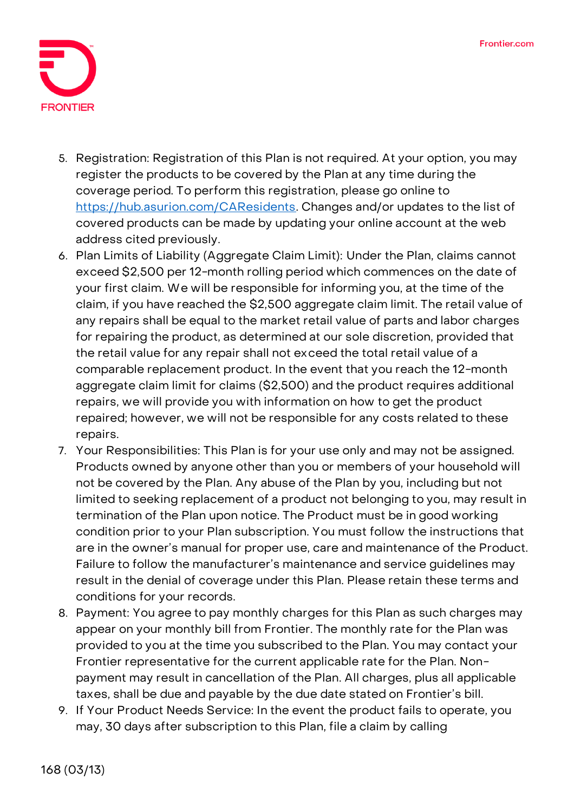

- 5. **Registration:** Registration of this Plan is not required. At your option, you may register the products to be covered by the Plan at any time during the coverage period. To perform this registration, please go online to [https://hub.asurion.com/CAResidents.](https://hub.asurion.com/CAResidents) Changes and/or updates to the list of covered products can be made by updating your online account at the web address cited previously.
- 6. **Plan Limits of Liability (Aggregate Claim Limit):** Under the Plan, claims cannot exceed \$2,500 per 12-month rolling period which commences on the date of your first claim. We will be responsible for informing you, at the time of the claim, if you have reached the \$2,500 aggregate claim limit. The retail value of any repairs shall be equal to the market retail value of parts and labor charges for repairing the product, as determined at our sole discretion, provided that the retail value for any repair shall not exceed the total retail value of a comparable replacement product. In the event that you reach the 12-month aggregate claim limit for claims (\$2,500) and the product requires additional repairs, we will provide you with information on how to get the product repaired; however, we will not be responsible for any costs related to these repairs.
- 7. **Your Responsibilities:** This Plan is for your use only and may not be assigned. Products owned by anyone other than you or members of your household will not be covered by the Plan. Any abuse of the Plan by you, including but not limited to seeking replacement of a product not belonging to you, may result in termination of the Plan upon notice. The Product must be in good working condition prior to your Plan subscription. You must follow the instructions that are in the owner's manual for proper use, care and maintenance of the Product. Failure to follow the manufacturer's maintenance and service guidelines may result in the denial of coverage under this Plan. Please retain these terms and conditions for your records.
- 8. **Payment:** You agree to pay monthly charges for this Plan as such charges may appear on your monthly bill from Frontier. The monthly rate for the Plan was provided to you at the time you subscribed to the Plan. You may contact your Frontier representative for the current applicable rate for the Plan. Nonpayment may result in cancellation of the Plan. All charges, plus all applicable taxes, shall be due and payable by the due date stated on Frontier's bill.
- 9. **If Your Product Needs Service:** In the event the product fails to operate, you may, 30 days after subscription to this Plan, file a claim by calling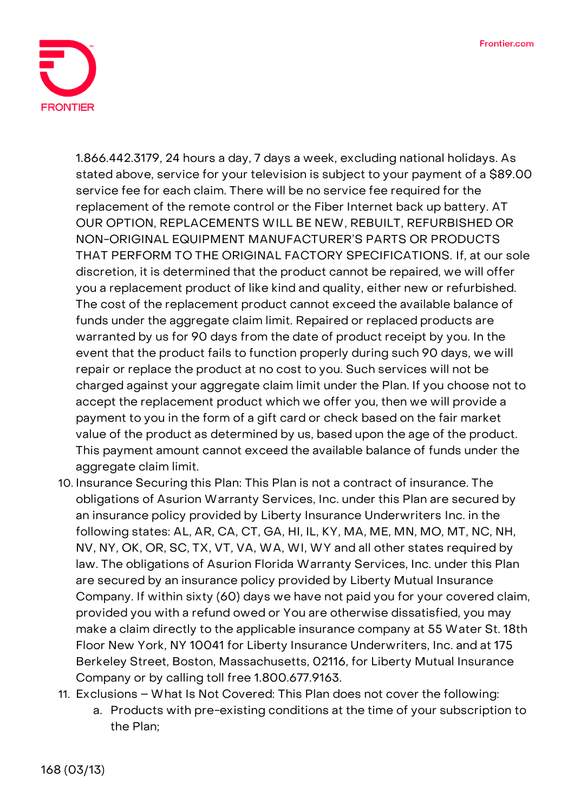

1.866.442.3179, 24 hours a day, 7 days a week, excluding national holidays. As stated above, service for your television is subject to your payment of a \$89.00 service fee for each claim. There will be no service fee required for the replacement of the remote control or the Fiber Internet back up battery. **AT OUR OPTION, REPLACEMENTS WILL BE NEW, REBUILT, REFURBISHED OR NON-ORIGINAL EQUIPMENT MANUFACTURER'S PARTS OR PRODUCTS THAT PERFORM TO THE ORIGINAL FACTORY SPECIFICATIONS.** If, at our sole discretion, it is determined that the product cannot be repaired, we will offer you a replacement product of like kind and quality, either new or refurbished. The cost of the replacement product cannot exceed the available balance of funds under the aggregate claim limit. Repaired or replaced products are warranted by us for 90 days from the date of product receipt by you. In the event that the product fails to function properly during such 90 days, we will repair or replace the product at no cost to you. Such services will not be charged against your aggregate claim limit under the Plan. If you choose not to accept the replacement product which we offer you, then we will provide a payment to you in the form of a gift card or check based on the fair market value of the product as determined by us, based upon the age of the product. This payment amount cannot exceed the available balance of funds under the aggregate claim limit.

- 10. **Insurance Securing this Plan:** This Plan is not a contract of insurance. The obligations of Asurion Warranty Services, Inc. under this Plan are secured by an insurance policy provided by Liberty Insurance Underwriters Inc. in the following states: AL, AR, CA, CT, GA, HI, IL, KY, MA, ME, MN, MO, MT, NC, NH, NV, NY, OK, OR, SC, TX, VT, VA, WA, WI, WY and all other states required by law. The obligations of Asurion Florida Warranty Services, Inc. under this Plan are secured by an insurance policy provided by Liberty Mutual Insurance Company. If within sixty (60) days we have not paid you for your covered claim, provided you with a refund owed or You are otherwise dissatisfied, you may make a claim directly to the applicable insurance company at 55 Water St. 18th Floor New York, NY 10041 for Liberty Insurance Underwriters, Inc. and at 175 Berkeley Street, Boston, Massachusetts, 02116, for Liberty Mutual Insurance Company or by calling toll free 1.800.677.9163.
- 11. **Exclusions – What Is Not Covered:** This Plan does not cover the following:
	- a. Products with pre-existing conditions at the time of your subscription to the Plan;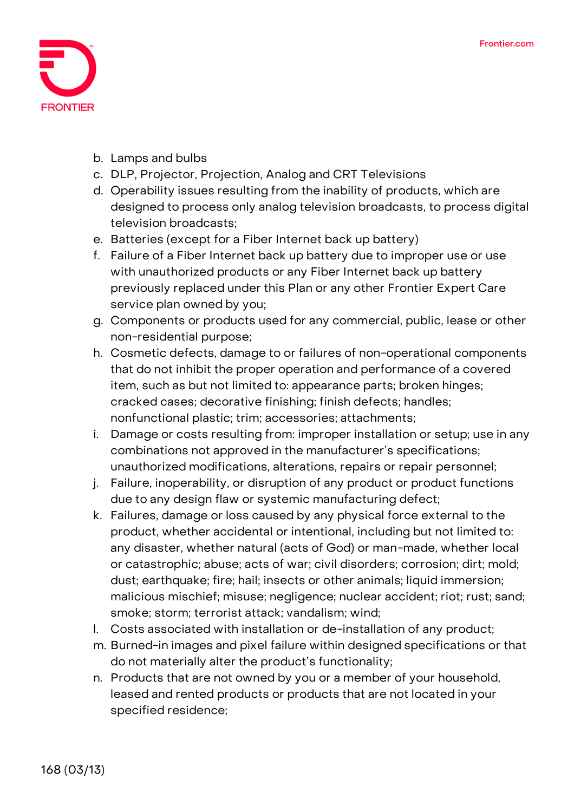

- b. Lamps and bulbs
- c. DLP, Projector, Projection, Analog and CRT Televisions
- d. Operability issues resulting from the inability of products, which are designed to process only analog television broadcasts, to process digital television broadcasts;
- e. Batteries (except for a Fiber Internet back up battery)
- f. Failure of a Fiber Internet back up battery due to improper use or use with unauthorized products or any Fiber Internet back up battery previously replaced under this Plan or any other Frontier Expert Care service plan owned by you;
- g. Components or products used for any commercial, public, lease or other non-residential purpose;
- h. Cosmetic defects, damage to or failures of non-operational components that do not inhibit the proper operation and performance of a covered item, such as but not limited to: appearance parts; broken hinges; cracked cases; decorative finishing; finish defects; handles; nonfunctional plastic; trim; accessories; attachments;
- i. Damage or costs resulting from: improper installation or setup; use in any combinations not approved in the manufacturer's specifications; unauthorized modifications, alterations, repairs or repair personnel;
- j. Failure, inoperability, or disruption of any product or product functions due to any design flaw or systemic manufacturing defect;
- k. Failures, damage or loss caused by any physical force external to the product, whether accidental or intentional, including but not limited to: any disaster, whether natural (acts of God) or man-made, whether local or catastrophic; abuse; acts of war; civil disorders; corrosion; dirt; mold; dust; earthquake; fire; hail; insects or other animals; liquid immersion; malicious mischief; misuse; negligence; nuclear accident; riot; rust; sand; smoke; storm; terrorist attack; vandalism; wind;
- l. Costs associated with installation or de-installation of any product;
- m. Burned-in images and pixel failure within designed specifications or that do not materially alter the product's functionality;
- n. Products that are not owned by you or a member of your household, leased and rented products or products that are not located in your specified residence;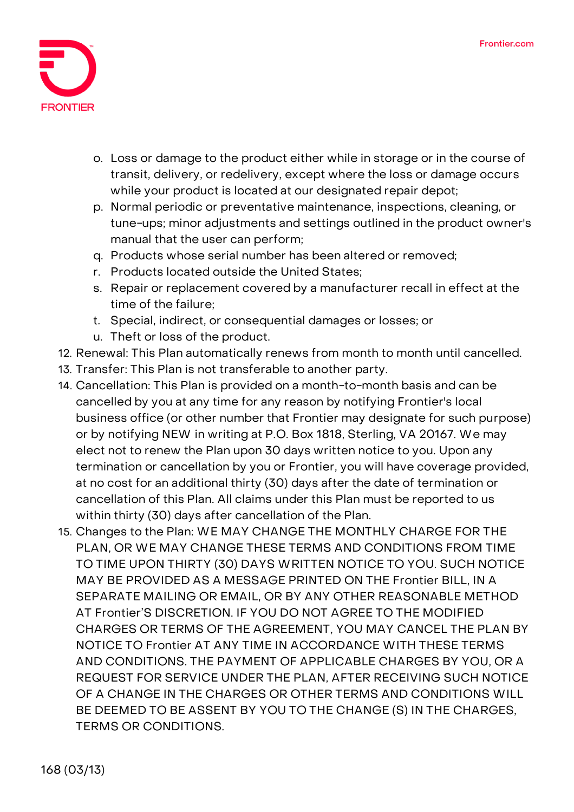

- o. Loss or damage to the product either while in storage or in the course of transit, delivery, or redelivery, except where the loss or damage occurs while your product is located at our designated repair depot;
- p. Normal periodic or preventative maintenance, inspections, cleaning, or tune-ups; minor adjustments and settings outlined in the product owner's manual that the user can perform;
- q. Products whose serial number has been altered or removed;
- r. Products located outside the United States;
- s. Repair or replacement covered by a manufacturer recall in effect at the time of the failure;
- t. Special, indirect, or consequential damages or losses; or
- u. Theft or loss of the product.
- 12. **Renewal:** This Plan automatically renews from month to month until cancelled.
- 13. **Transfer:** This Plan is not transferable to another party.
- 14. **Cancellation:** This Plan is provided on a month-to-month basis and can be cancelled by you at any time for any reason by notifying Frontier's local business office (or other number that Frontier may designate for such purpose) or by notifying NEW in writing at P.O. Box 1818, Sterling, VA 20167. We may elect not to renew the Plan upon 30 days written notice to you. Upon any termination or cancellation by you or Frontier, you will have coverage provided, at no cost for an additional thirty (30) days after the date of termination or cancellation of this Plan. All claims under this Plan must be reported to us within thirty (30) days after cancellation of the Plan.
- 15. **Changes to the Plan:** WE MAY CHANGE THE MONTHLY CHARGE FOR THE PLAN, OR WE MAY CHANGE THESE TERMS AND CONDITIONS FROM TIME TO TIME UPON THIRTY (30) DAYS WRITTEN NOTICE TO YOU. SUCH NOTICE MAY BE PROVIDED AS A MESSAGE PRINTED ON THE Frontier BILL, IN A SEPARATE MAILING OR EMAIL, OR BY ANY OTHER REASONABLE METHOD AT Frontier'S DISCRETION. IF YOU DO NOT AGREE TO THE MODIFIED CHARGES OR TERMS OF THE AGREEMENT, YOU MAY CANCEL THE PLAN BY NOTICE TO Frontier AT ANY TIME IN ACCORDANCE WITH THESE TERMS AND CONDITIONS. THE PAYMENT OF APPLICABLE CHARGES BY YOU, OR A REQUEST FOR SERVICE UNDER THE PLAN, AFTER RECEIVING SUCH NOTICE OF A CHANGE IN THE CHARGES OR OTHER TERMS AND CONDITIONS WILL BE DEEMED TO BE ASSENT BY YOU TO THE CHANGE (S) IN THE CHARGES, TERMS OR CONDITIONS.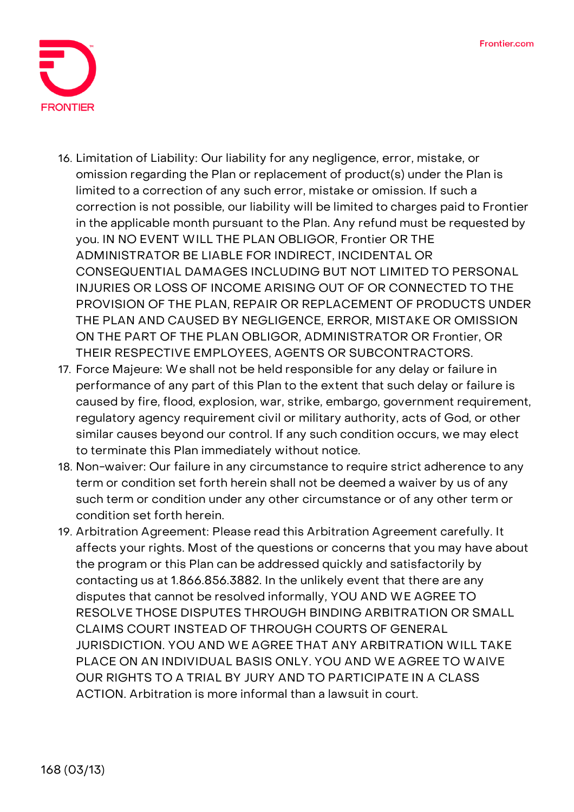

- 16. **Limitation of Liability:** Our liability for any negligence, error, mistake, or omission regarding the Plan or replacement of product(s) under the Plan is limited to a correction of any such error, mistake or omission. If such a correction is not possible, our liability will be limited to charges paid to Frontier in the applicable month pursuant to the Plan. Any refund must be requested by you. IN NO EVENT WILL THE PLAN OBLIGOR, Frontier OR THE ADMINISTRATOR BE LIABLE FOR INDIRECT, INCIDENTAL OR CONSEQUENTIAL DAMAGES INCLUDING BUT NOT LIMITED TO PERSONAL INJURIES OR LOSS OF INCOME ARISING OUT OF OR CONNECTED TO THE PROVISION OF THE PLAN, REPAIR OR REPLACEMENT OF PRODUCTS UNDER THE PLAN AND CAUSED BY NEGLIGENCE, ERROR, MISTAKE OR OMISSION ON THE PART OF THE PLAN OBLIGOR, ADMINISTRATOR OR Frontier, OR THEIR RESPECTIVE EMPLOYEES, AGENTS OR SUBCONTRACTORS.
- 17. **Force Majeure:** We shall not be held responsible for any delay or failure in performance of any part of this Plan to the extent that such delay or failure is caused by fire, flood, explosion, war, strike, embargo, government requirement, regulatory agency requirement civil or military authority, acts of God, or other similar causes beyond our control. If any such condition occurs, we may elect to terminate this Plan immediately without notice.
- 18. **Non-waiver:** Our failure in any circumstance to require strict adherence to any term or condition set forth herein shall not be deemed a waiver by us of any such term or condition under any other circumstance or of any other term or condition set forth herein.
- 19. **Arbitration Agreement:** Please read this Arbitration Agreement carefully. It affects your rights. Most of the questions or concerns that you may have about the program or this Plan can be addressed quickly and satisfactorily by contacting us at 1.866.856.3882. In the unlikely event that there are any disputes that cannot be resolved informally, **YOU AND WE AGREE TO RESOLVE THOSE DISPUTES THROUGH BINDING ARBITRATION OR SMALL CLAIMS COURT INSTEAD OF THROUGH COURTS OF GENERAL JURISDICTION. YOU AND WE AGREE THAT ANY ARBITRATION WILL TAKE PLACE ON AN INDIVIDUAL BASIS ONLY. YOU AND WE AGREE TO WAIVE OUR RIGHTS TO A TRIAL BY JURY AND TO PARTICIPATE IN A CLASS ACTION.** Arbitration is more informal than a lawsuit in court.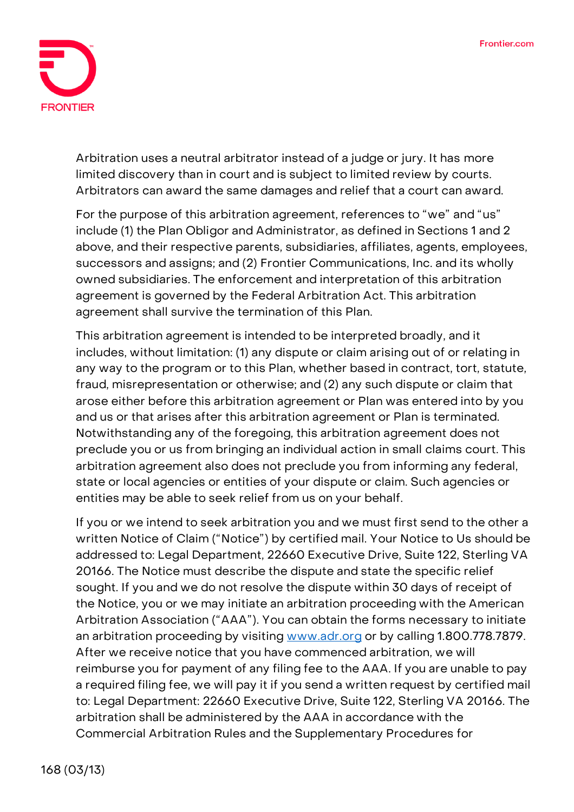

Arbitration uses a neutral arbitrator instead of a judge or jury. It has more limited discovery than in court and is subject to limited review by courts. Arbitrators can award the same damages and relief that a court can award.

For the purpose of this arbitration agreement, references to "we" and "us" include (1) the Plan Obligor and Administrator, as defined in Sections 1 and 2 above, and their respective parents, subsidiaries, affiliates, agents, employees, successors and assigns; and (2) Frontier Communications, Inc. and its wholly owned subsidiaries. The enforcement and interpretation of this arbitration agreement is governed by the Federal Arbitration Act. This arbitration agreement shall survive the termination of this Plan.

This arbitration agreement is intended to be interpreted broadly, and it includes, without limitation: (1) any dispute or claim arising out of or relating in any way to the program or to this Plan, whether based in contract, tort, statute, fraud, misrepresentation or otherwise; and (2) any such dispute or claim that arose either before this arbitration agreement or Plan was entered into by you and us or that arises after this arbitration agreement or Plan is terminated. Notwithstanding any of the foregoing, this arbitration agreement does not preclude you or us from bringing an individual action in small claims court. This arbitration agreement also does not preclude you from informing any federal, state or local agencies or entities of your dispute or claim. Such agencies or entities may be able to seek relief from us on your behalf.

If you or we intend to seek arbitration you and we must first send to the other a written Notice of Claim ("Notice") by certified mail. Your Notice to Us should be addressed to: Legal Department, 22660 Executive Drive, Suite 122, Sterling VA 20166. The Notice must describe the dispute and state the specific relief sought. If you and we do not resolve the dispute within 30 days of receipt of the Notice, you or we may initiate an arbitration proceeding with the American Arbitration Association ("AAA"). You can obtain the forms necessary to initiate an arbitration proceeding by visiting [www.adr.org](http://www.adr.org/) or by calling 1.800.778.7879. After we receive notice that you have commenced arbitration, we will reimburse you for payment of any filing fee to the AAA. If you are unable to pay a required filing fee, we will pay it if you send a written request by certified mail to: Legal Department: 22660 Executive Drive, Suite 122, Sterling VA 20166. The arbitration shall be administered by the AAA in accordance with the Commercial Arbitration Rules and the Supplementary Procedures for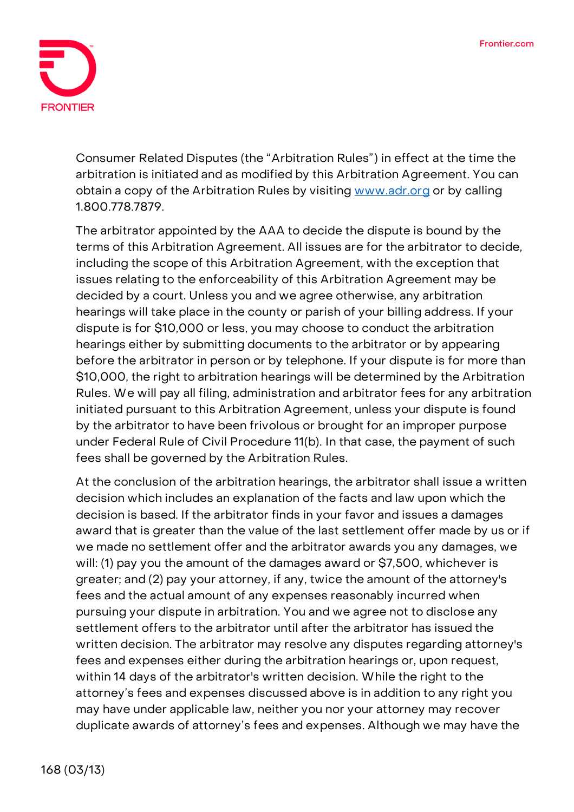

Consumer Related Disputes (the "Arbitration Rules") in effect at the time the arbitration is initiated and as modified by this Arbitration Agreement. You can obtain a copy of the Arbitration Rules by visiting [www.adr.org](http://www.adr.org/) or by calling 1.800.778.7879.

The arbitrator appointed by the AAA to decide the dispute is bound by the terms of this Arbitration Agreement. All issues are for the arbitrator to decide, including the scope of this Arbitration Agreement, with the exception that issues relating to the enforceability of this Arbitration Agreement may be decided by a court. Unless you and we agree otherwise, any arbitration hearings will take place in the county or parish of your billing address. If your dispute is for \$10,000 or less, you may choose to conduct the arbitration hearings either by submitting documents to the arbitrator or by appearing before the arbitrator in person or by telephone. If your dispute is for more than \$10,000, the right to arbitration hearings will be determined by the Arbitration Rules. We will pay all filing, administration and arbitrator fees for any arbitration initiated pursuant to this Arbitration Agreement, unless your dispute is found by the arbitrator to have been frivolous or brought for an improper purpose under Federal Rule of Civil Procedure 11(b). In that case, the payment of such fees shall be governed by the Arbitration Rules.

At the conclusion of the arbitration hearings, the arbitrator shall issue a written decision which includes an explanation of the facts and law upon which the decision is based. If the arbitrator finds in your favor and issues a damages award that is greater than the value of the last settlement offer made by us or if we made no settlement offer and the arbitrator awards you any damages, we will: (1) pay you the amount of the damages award or \$7,500, whichever is greater; and (2) pay your attorney, if any, twice the amount of the attorney's fees and the actual amount of any expenses reasonably incurred when pursuing your dispute in arbitration. You and we agree not to disclose any settlement offers to the arbitrator until after the arbitrator has issued the written decision. The arbitrator may resolve any disputes regarding attorney's fees and expenses either during the arbitration hearings or, upon request, within 14 days of the arbitrator's written decision. While the right to the attorney's fees and expenses discussed above is in addition to any right you may have under applicable law, neither you nor your attorney may recover duplicate awards of attorney's fees and expenses. Although we may have the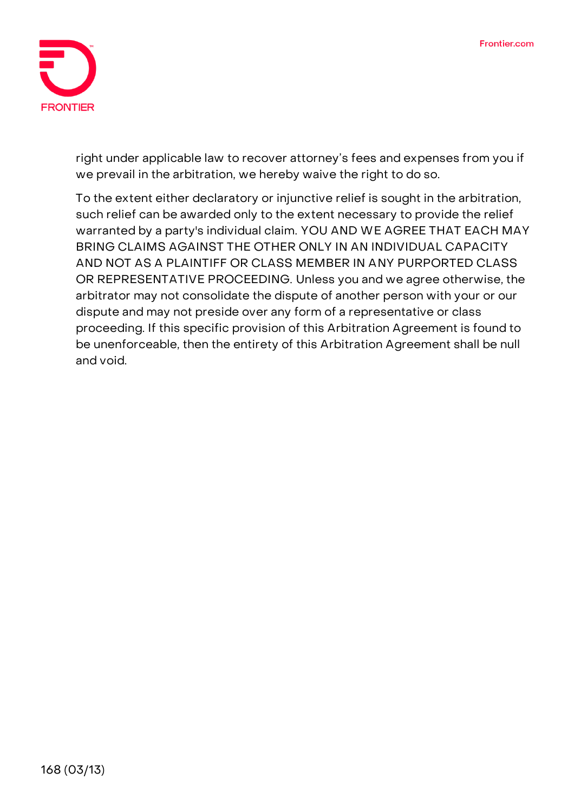

right under applicable law to recover attorney's fees and expenses from you if we prevail in the arbitration, we hereby waive the right to do so.

To the extent either declaratory or injunctive relief is sought in the arbitration, such relief can be awarded only to the extent necessary to provide the relief warranted by a party's individual claim. **YOU AND WE AGREE THAT EACH MAY BRING CLAIMS AGAINST THE OTHER ONLY IN AN INDIVIDUAL CAPACITY AND NOT AS A PLAINTIFF OR CLASS MEMBER IN ANY PURPORTED CLASS OR REPRESENTATIVE PROCEEDING.** Unless you and we agree otherwise, the arbitrator may not consolidate the dispute of another person with your or our dispute and may not preside over any form of a representative or class proceeding. If this specific provision of this Arbitration Agreement is found to be unenforceable, then the entirety of this Arbitration Agreement shall be null and void.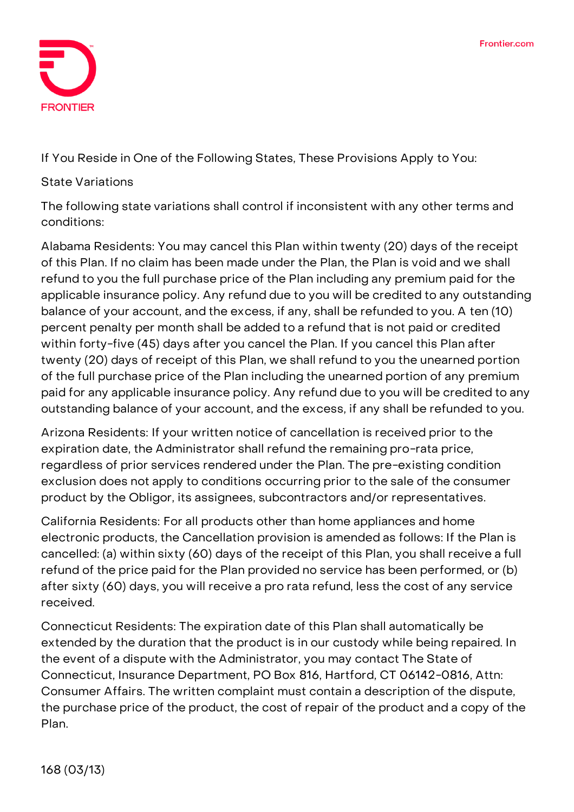

**If You Reside in One of the Following States, These Provisions Apply to You:**

## **State Variations**

The following state variations shall control if inconsistent with any other terms and conditions:

**Alabama Residents:** You may cancel this Plan within twenty (20) days of the receipt of this Plan. If no claim has been made under the Plan, the Plan is void and we shall refund to you the full purchase price of the Plan including any premium paid for the applicable insurance policy. Any refund due to you will be credited to any outstanding balance of your account, and the excess, if any, shall be refunded to you. A ten (10) percent penalty per month shall be added to a refund that is not paid or credited within forty-five (45) days after you cancel the Plan. If you cancel this Plan after twenty (20) days of receipt of this Plan, we shall refund to you the unearned portion of the full purchase price of the Plan including the unearned portion of any premium paid for any applicable insurance policy. Any refund due to you will be credited to any outstanding balance of your account, and the excess, if any shall be refunded to you.

**Arizona Residents:** If your written notice of cancellation is received prior to the expiration date, the Administrator shall refund the remaining pro-rata price, regardless of prior services rendered under the Plan. The pre-existing condition exclusion does not apply to conditions occurring prior to the sale of the consumer product by the Obligor, its assignees, subcontractors and/or representatives.

**California Residents:** For all products other than home appliances and home electronic products, the Cancellation provision is amended as follows: If the Plan is cancelled: (a) within sixty (60) days of the receipt of this Plan, you shall receive a full refund of the price paid for the Plan provided no service has been performed, or (b) after sixty (60) days, you will receive a pro rata refund, less the cost of any service received.

**Connecticut Residents:** The expiration date of this Plan shall automatically be extended by the duration that the product is in our custody while being repaired. In the event of a dispute with the Administrator, you may contact The State of Connecticut, Insurance Department, PO Box 816, Hartford, CT 06142-0816, Attn: Consumer Affairs. The written complaint must contain a description of the dispute, the purchase price of the product, the cost of repair of the product and a copy of the Plan.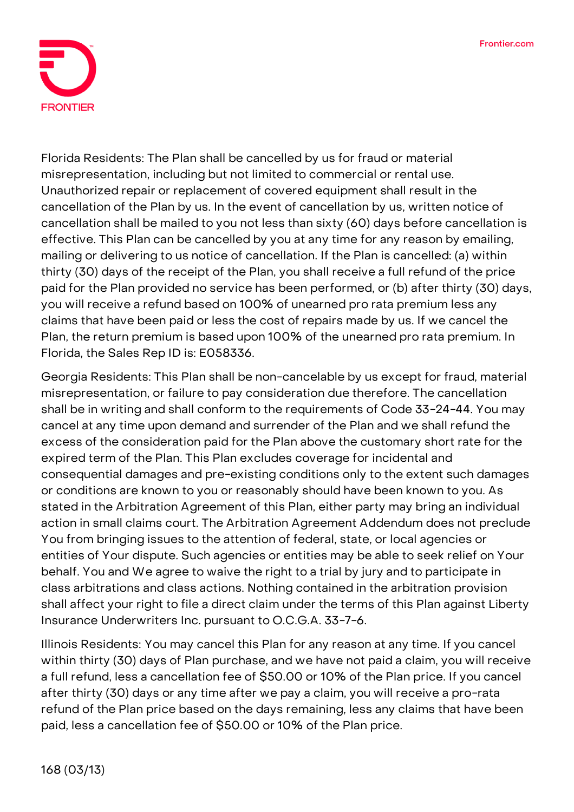

**Florida Residents:** The Plan shall be cancelled by us for fraud or material misrepresentation, including but not limited to commercial or rental use. Unauthorized repair or replacement of covered equipment shall result in the cancellation of the Plan by us. In the event of cancellation by us, written notice of cancellation shall be mailed to you not less than sixty (60) days before cancellation is effective. This Plan can be cancelled by you at any time for any reason by emailing, mailing or delivering to us notice of cancellation. If the Plan is cancelled: (a) within thirty (30) days of the receipt of the Plan, you shall receive a full refund of the price paid for the Plan provided no service has been performed, or (b) after thirty (30) days, you will receive a refund based on 100% of unearned pro rata premium less any claims that have been paid or less the cost of repairs made by us. If we cancel the Plan, the return premium is based upon 100% of the unearned pro rata premium. In Florida, the Sales Rep ID is: E058336.

**Georgia Residents:** This Plan shall be non-cancelable by us except for fraud, material misrepresentation, or failure to pay consideration due therefore. The cancellation shall be in writing and shall conform to the requirements of Code 33-24-44. You may cancel at any time upon demand and surrender of the Plan and we shall refund the excess of the consideration paid for the Plan above the customary short rate for the expired term of the Plan. This Plan excludes coverage for incidental and consequential damages and pre-existing conditions only to the extent such damages or conditions are known to you or reasonably should have been known to you. As stated in the Arbitration Agreement of this Plan, either party may bring an individual action in small claims court. The Arbitration Agreement Addendum does not preclude You from bringing issues to the attention of federal, state, or local agencies or entities of Your dispute. Such agencies or entities may be able to seek relief on Your behalf. You and We agree to waive the right to a trial by jury and to participate in class arbitrations and class actions. Nothing contained in the arbitration provision shall affect your right to file a direct claim under the terms of this Plan against Liberty Insurance Underwriters Inc. pursuant to O.C.G.A. 33-7-6.

**Illinois Residents:** You may cancel this Plan for any reason at any time. If you cancel within thirty (30) days of Plan purchase, and we have not paid a claim, you will receive a full refund, less a cancellation fee of \$50.00 or 10% of the Plan price. If you cancel after thirty (30) days or any time after we pay a claim, you will receive a pro-rata refund of the Plan price based on the days remaining, less any claims that have been paid, less a cancellation fee of \$50.00 or 10% of the Plan price.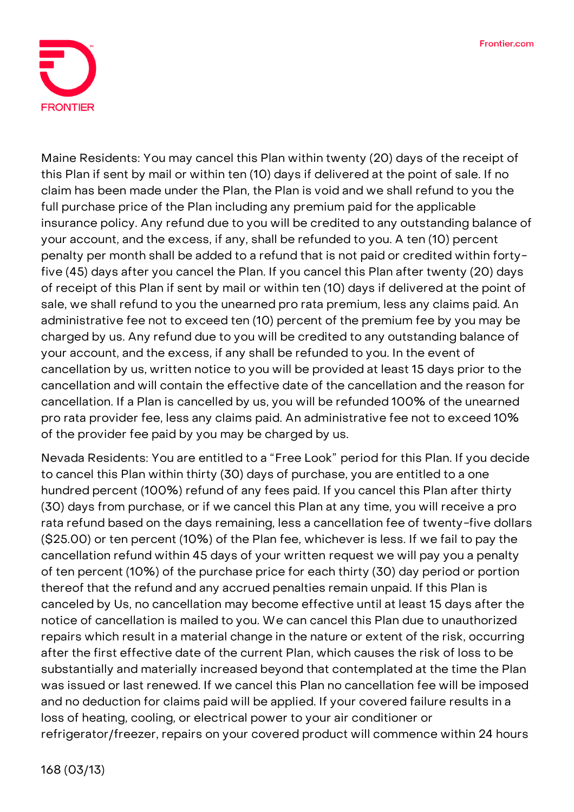

**Maine Residents:** You may cancel this Plan within twenty (20) days of the receipt of this Plan if sent by mail or within ten (10) days if delivered at the point of sale. If no claim has been made under the Plan, the Plan is void and we shall refund to you the full purchase price of the Plan including any premium paid for the applicable insurance policy. Any refund due to you will be credited to any outstanding balance of your account, and the excess, if any, shall be refunded to you. A ten (10) percent penalty per month shall be added to a refund that is not paid or credited within fortyfive (45) days after you cancel the Plan. If you cancel this Plan after twenty (20) days of receipt of this Plan if sent by mail or within ten (10) days if delivered at the point of sale, we shall refund to you the unearned pro rata premium, less any claims paid. An administrative fee not to exceed ten (10) percent of the premium fee by you may be charged by us. Any refund due to you will be credited to any outstanding balance of your account, and the excess, if any shall be refunded to you. In the event of cancellation by us, written notice to you will be provided at least 15 days prior to the cancellation and will contain the effective date of the cancellation and the reason for cancellation. If a Plan is cancelled by us, you will be refunded 100% of the unearned pro rata provider fee, less any claims paid. An administrative fee not to exceed 10% of the provider fee paid by you may be charged by us.

**Nevada Residents:** You are entitled to a "Free Look" period for this Plan. If you decide to cancel this Plan within thirty (30) days of purchase, you are entitled to a one hundred percent (100%) refund of any fees paid. If you cancel this Plan after thirty (30) days from purchase, or if we cancel this Plan at any time, you will receive a pro rata refund based on the days remaining, less a cancellation fee of twenty-five dollars (\$25.00) or ten percent (10%) of the Plan fee, whichever is less. If we fail to pay the cancellation refund within 45 days of your written request we will pay you a penalty of ten percent (10%) of the purchase price for each thirty (30) day period or portion thereof that the refund and any accrued penalties remain unpaid. If this Plan is canceled by Us, no cancellation may become effective until at least 15 days after the notice of cancellation is mailed to you. We can cancel this Plan due to unauthorized repairs which result in a material change in the nature or extent of the risk, occurring after the first effective date of the current Plan, which causes the risk of loss to be substantially and materially increased beyond that contemplated at the time the Plan was issued or last renewed. If we cancel this Plan no cancellation fee will be imposed and no deduction for claims paid will be applied. If your covered failure results in a loss of heating, cooling, or electrical power to your air conditioner or refrigerator/freezer, repairs on your covered product will commence within 24 hours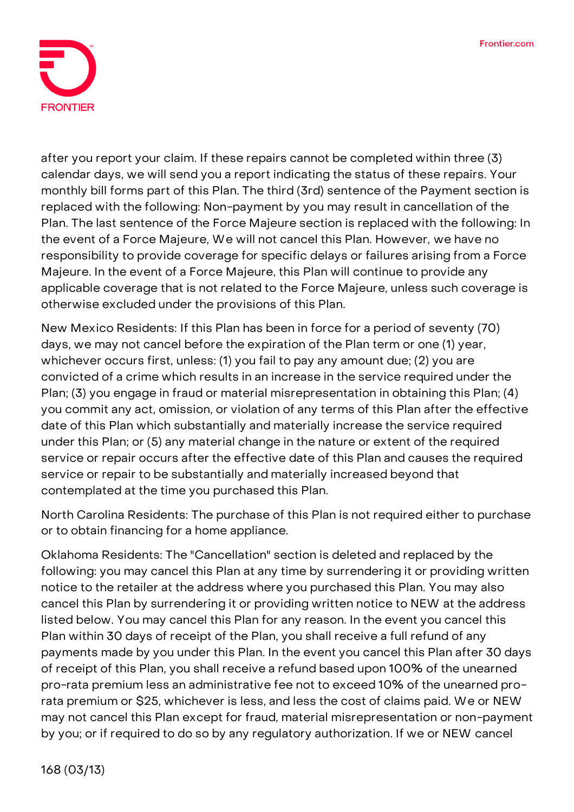

after you report your claim. If these repairs cannot be completed within three (3) calendar days, we will send you a report indicating the status of these repairs. Your monthly bill forms part of this Plan. The third (3rd) sentence of the Payment section is replaced with the following: Non-payment by you may result in cancellation of the Plan. The last sentence of the Force Majeure section is replaced with the following: In the event of a Force Majeure, We will not cancel this Plan. However, we have no responsibility to provide coverage for specific delays or failures arising from a Force Majeure. In the event of a Force Majeure, this Plan will continue to provide any applicable coverage that is not related to the Force Majeure, unless such coverage is otherwise excluded under the provisions of this Plan.

**New Mexico Residents:** If this Plan has been in force for a period of seventy (70) days, we may not cancel before the expiration of the Plan term or one (1) year, whichever occurs first, unless: (1) you fail to pay any amount due; (2) you are convicted of a crime which results in an increase in the service required under the Plan; (3) you engage in fraud or material misrepresentation in obtaining this Plan; (4) you commit any act, omission, or violation of any terms of this Plan after the effective date of this Plan which substantially and materially increase the service required under this Plan; or (5) any material change in the nature or extent of the required service or repair occurs after the effective date of this Plan and causes the required service or repair to be substantially and materially increased beyond that contemplated at the time you purchased this Plan.

**North Carolina Residents:** The purchase of this Plan is not required either to purchase or to obtain financing for a home appliance.

**Oklahoma Residents:** The "Cancellation" section is deleted and replaced by the following: you may cancel this Plan at any time by surrendering it or providing written notice to the retailer at the address where you purchased this Plan. You may also cancel this Plan by surrendering it or providing written notice to NEW at the address listed below. You may cancel this Plan for any reason. In the event you cancel this Plan within 30 days of receipt of the Plan, you shall receive a full refund of any payments made by you under this Plan. In the event you cancel this Plan after 30 days of receipt of this Plan, you shall receive a refund based upon 100% of the unearned pro-rata premium less an administrative fee not to exceed 10% of the unearned prorata premium or \$25, whichever is less, and less the cost of claims paid. We or NEW may not cancel this Plan except for fraud, material misrepresentation or non-payment by you; or if required to do so by any regulatory authorization. If we or NEW cancel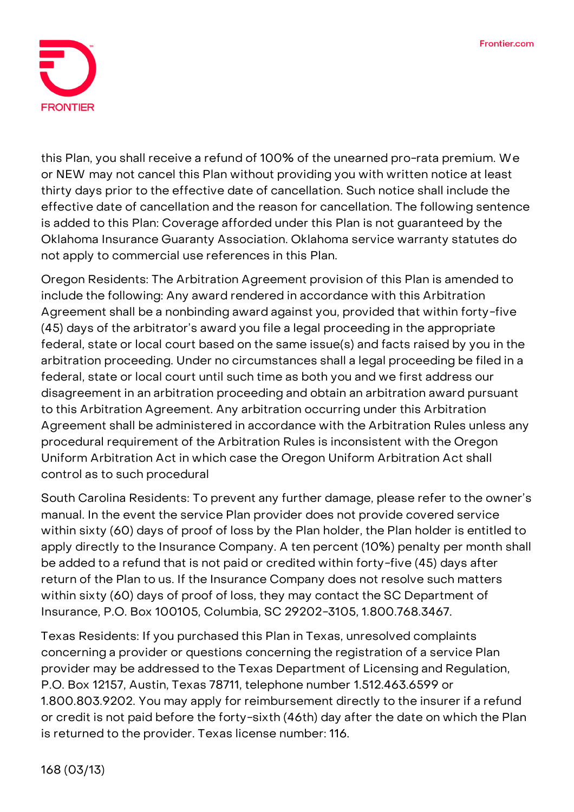

this Plan, you shall receive a refund of 100% of the unearned pro-rata premium. We or NEW may not cancel this Plan without providing you with written notice at least thirty days prior to the effective date of cancellation. Such notice shall include the effective date of cancellation and the reason for cancellation. The following sentence is added to this Plan: Coverage afforded under this Plan is not guaranteed by the Oklahoma Insurance Guaranty Association. Oklahoma service warranty statutes do not apply to commercial use references in this Plan.

**Oregon Residents:** The Arbitration Agreement provision of this Plan is amended to include the following: Any award rendered in accordance with this Arbitration Agreement shall be a nonbinding award against you, provided that within forty-five (45) days of the arbitrator's award you file a legal proceeding in the appropriate federal, state or local court based on the same issue(s) and facts raised by you in the arbitration proceeding. Under no circumstances shall a legal proceeding be filed in a federal, state or local court until such time as both you and we first address our disagreement in an arbitration proceeding and obtain an arbitration award pursuant to this Arbitration Agreement. Any arbitration occurring under this Arbitration Agreement shall be administered in accordance with the Arbitration Rules unless any procedural requirement of the Arbitration Rules is inconsistent with the Oregon Uniform Arbitration Act in which case the Oregon Uniform Arbitration Act shall control as to such procedural

**South Carolina Residents:** To prevent any further damage, please refer to the owner's manual. In the event the service Plan provider does not provide covered service within sixty (60) days of proof of loss by the Plan holder, the Plan holder is entitled to apply directly to the Insurance Company. A ten percent (10%) penalty per month shall be added to a refund that is not paid or credited within forty-five (45) days after return of the Plan to us. If the Insurance Company does not resolve such matters within sixty (60) days of proof of loss, they may contact the SC Department of Insurance, P.O. Box 100105, Columbia, SC 29202-3105, 1.800.768.3467.

**Texas Residents:** If you purchased this Plan in Texas, unresolved complaints concerning a provider or questions concerning the registration of a service Plan provider may be addressed to the Texas Department of Licensing and Regulation, P.O. Box 12157, Austin, Texas 78711, telephone number 1.512.463.6599 or 1.800.803.9202. You may apply for reimbursement directly to the insurer if a refund or credit is not paid before the forty-sixth (46th) day after the date on which the Plan is returned to the provider. Texas license number: 116.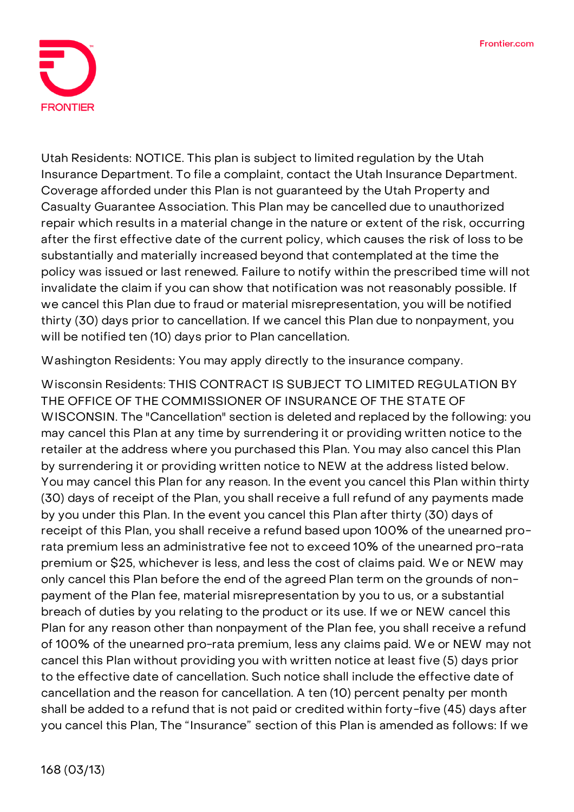

**Utah Residents:** NOTICE. This plan is subject to limited regulation by the Utah Insurance Department. To file a complaint, contact the Utah Insurance Department. Coverage afforded under this Plan is not guaranteed by the Utah Property and Casualty Guarantee Association. This Plan may be cancelled due to unauthorized repair which results in a material change in the nature or extent of the risk, occurring after the first effective date of the current policy, which causes the risk of loss to be substantially and materially increased beyond that contemplated at the time the policy was issued or last renewed. Failure to notify within the prescribed time will not invalidate the claim if you can show that notification was not reasonably possible. If we cancel this Plan due to fraud or material misrepresentation, you will be notified thirty (30) days prior to cancellation. If we cancel this Plan due to nonpayment, you will be notified ten (10) days prior to Plan cancellation.

**Washington Residents:** You may apply directly to the insurance company.

**Wisconsin Residents: THIS CONTRACT IS SUBJECT TO LIMITED REGULATION BY THE OFFICE OF THE COMMISSIONER OF INSURANCE OF THE STATE OF WISCONSIN.** The "Cancellation" section is deleted and replaced by the following: you may cancel this Plan at any time by surrendering it or providing written notice to the retailer at the address where you purchased this Plan. You may also cancel this Plan by surrendering it or providing written notice to NEW at the address listed below. You may cancel this Plan for any reason. In the event you cancel this Plan within thirty (30) days of receipt of the Plan, you shall receive a full refund of any payments made by you under this Plan. In the event you cancel this Plan after thirty (30) days of receipt of this Plan, you shall receive a refund based upon 100% of the unearned prorata premium less an administrative fee not to exceed 10% of the unearned pro-rata premium or \$25, whichever is less, and less the cost of claims paid. We or NEW may only cancel this Plan before the end of the agreed Plan term on the grounds of nonpayment of the Plan fee, material misrepresentation by you to us, or a substantial breach of duties by you relating to the product or its use. If we or NEW cancel this Plan for any reason other than nonpayment of the Plan fee, you shall receive a refund of 100% of the unearned pro-rata premium, less any claims paid. We or NEW may not cancel this Plan without providing you with written notice at least five (5) days prior to the effective date of cancellation. Such notice shall include the effective date of cancellation and the reason for cancellation. A ten (10) percent penalty per month shall be added to a refund that is not paid or credited within forty-five (45) days after you cancel this Plan, The "Insurance" section of this Plan is amended as follows: If we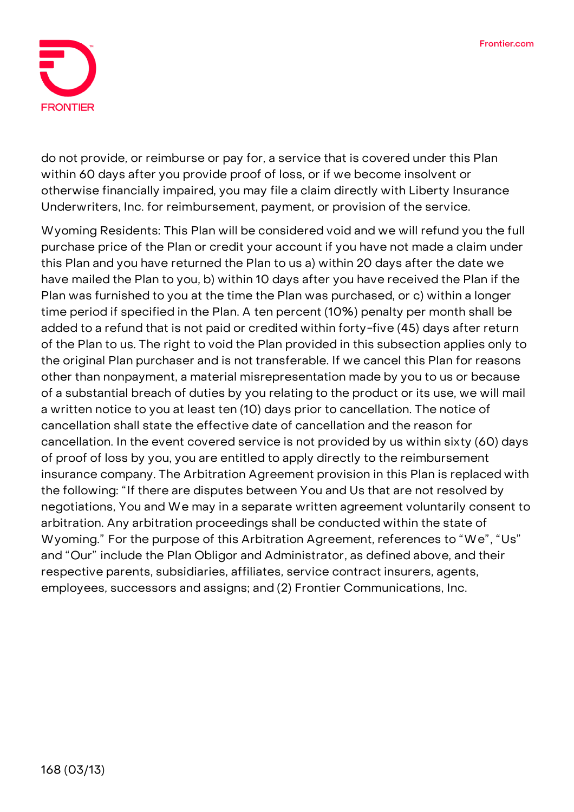

do not provide, or reimburse or pay for, a service that is covered under this Plan within 60 days after you provide proof of loss, or if we become insolvent or otherwise financially impaired, you may file a claim directly with Liberty Insurance Underwriters, Inc. for reimbursement, payment, or provision of the service.

**Wyoming Residents:** This Plan will be considered void and we will refund you the full purchase price of the Plan or credit your account if you have not made a claim under this Plan and you have returned the Plan to us a) within 20 days after the date we have mailed the Plan to you, b) within 10 days after you have received the Plan if the Plan was furnished to you at the time the Plan was purchased, or c) within a longer time period if specified in the Plan. A ten percent (10%) penalty per month shall be added to a refund that is not paid or credited within forty-five (45) days after return of the Plan to us. The right to void the Plan provided in this subsection applies only to the original Plan purchaser and is not transferable. If we cancel this Plan for reasons other than nonpayment, a material misrepresentation made by you to us or because of a substantial breach of duties by you relating to the product or its use, we will mail a written notice to you at least ten (10) days prior to cancellation. The notice of cancellation shall state the effective date of cancellation and the reason for cancellation. In the event covered service is not provided by us within sixty (60) days of proof of loss by you, you are entitled to apply directly to the reimbursement insurance company. The Arbitration Agreement provision in this Plan is replaced with the following: "If there are disputes between You and Us that are not resolved by negotiations, You and We may in a separate written agreement voluntarily consent to arbitration. Any arbitration proceedings shall be conducted within the state of Wyoming." For the purpose of this Arbitration Agreement, references to "We", "Us" and "Our" include the Plan Obligor and Administrator, as defined above, and their respective parents, subsidiaries, affiliates, service contract insurers, agents, employees, successors and assigns; and (2) Frontier Communications, Inc.